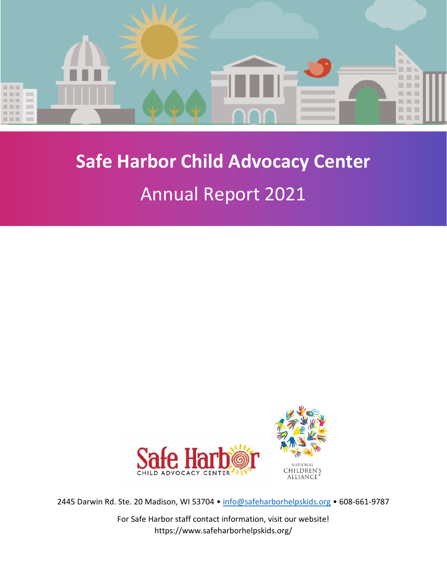

# **Safe Harbor Child Advocacy Center**

## Annual Report 2021



2445 Darwin Rd. Ste. 20 Madison, WI 53704 · [info@safeharborhelpskids.org](mailto:info@safeharborhelpskids.org) · 608-661-9787

For Safe Harbor staff contact information, visit our website! https://www.safeharborhelpskids.org/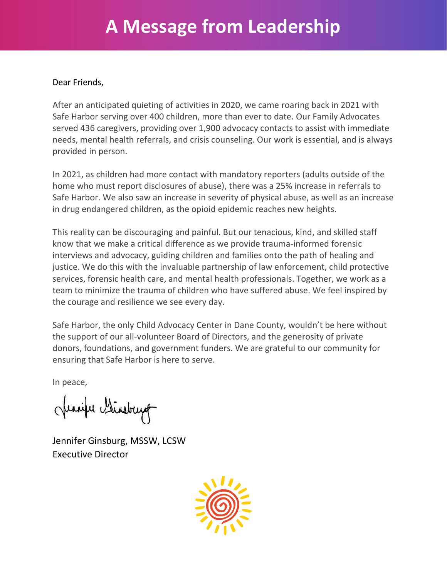## **A Message from Leadership**

#### Dear Friends,

After an anticipated quieting of activities in 2020, we came roaring back in 2021 with Safe Harbor serving over 400 children, more than ever to date. Our Family Advocates served 436 caregivers, providing over 1,900 advocacy contacts to assist with immediate needs, mental health referrals, and crisis counseling. Our work is essential, and is always provided in person.

In 2021, as children had more contact with mandatory reporters (adults outside of the home who must report disclosures of abuse), there was a 25% increase in referrals to Safe Harbor. We also saw an increase in severity of physical abuse, as well as an increase in drug endangered children, as the opioid epidemic reaches new heights.

This reality can be discouraging and painful. But our tenacious, kind, and skilled staff know that we make a critical difference as we provide trauma-informed forensic interviews and advocacy, guiding children and families onto the path of healing and justice. We do this with the invaluable partnership of law enforcement, child protective services, forensic health care, and mental health professionals. Together, we work as a team to minimize the trauma of children who have suffered abuse. We feel inspired by the courage and resilience we see every day.

Safe Harbor, the only Child Advocacy Center in Dane County, wouldn't be here without the support of our all-volunteer Board of Directors, and the generosity of private donors, foundations, and government funders. We are grateful to our community for ensuring that Safe Harbor is here to serve.

In peace,

Jeanife Binsburg

Jennifer Ginsburg, MSSW, LCSW Executive Director

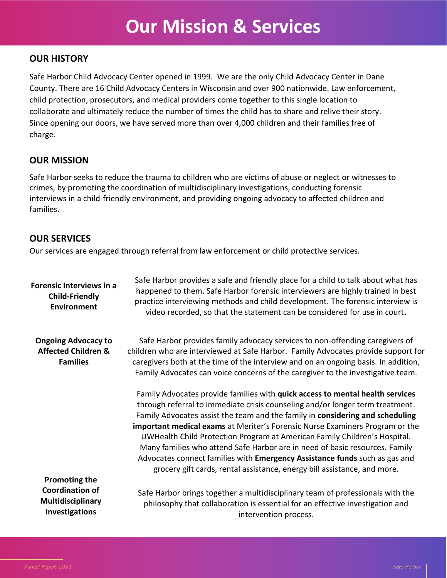## **Our Mission & Services**

### **OUR HISTORY**

Safe Harbor Child Advocacy Center opened in 1999. We are the only Child Advocacy Center in Dane County. There are 16 Child Advocacy Centers in Wisconsin and over 900 nationwide. Law enforcement, child protection, prosecutors, and medical providers come together to this single location to collaborate and ultimately reduce the number of times the child has to share and relive their story. Since opening our doors, we have served more than over 4,000 children and their families free of charge.

### **OUR MISSION**

Safe Harbor seeks to reduce the trauma to children who are victims of abuse or neglect or witnesses to crimes, by promoting the coordination of multidisciplinary investigations, conducting forensic interviews in a child-friendly environment, and providing ongoing advocacy to affected children and families.

### **OUR SERVICES**

Our services are engaged through referral from law enforcement or child protective services.

| <b>Forensic Interviews in a</b><br><b>Child-Friendly</b><br><b>Environment</b>                          | Safe Harbor provides a safe and friendly place for a child to talk about what has<br>happened to them. Safe Harbor forensic interviewers are highly trained in best<br>practice interviewing methods and child development. The forensic interview is<br>video recorded, so that the statement can be considered for use in court.                                                                                                                                                                                                                                                                                                                    |
|---------------------------------------------------------------------------------------------------------|-------------------------------------------------------------------------------------------------------------------------------------------------------------------------------------------------------------------------------------------------------------------------------------------------------------------------------------------------------------------------------------------------------------------------------------------------------------------------------------------------------------------------------------------------------------------------------------------------------------------------------------------------------|
| <b>Ongoing Advocacy to</b><br><b>Affected Children &amp;</b><br><b>Families</b><br><b>Promoting the</b> | Safe Harbor provides family advocacy services to non-offending caregivers of<br>children who are interviewed at Safe Harbor. Family Advocates provide support for<br>caregivers both at the time of the interview and on an ongoing basis. In addition,<br>Family Advocates can voice concerns of the caregiver to the investigative team.                                                                                                                                                                                                                                                                                                            |
|                                                                                                         | Family Advocates provide families with quick access to mental health services<br>through referral to immediate crisis counseling and/or longer term treatment.<br>Family Advocates assist the team and the family in considering and scheduling<br>important medical exams at Meriter's Forensic Nurse Examiners Program or the<br>UWHealth Child Protection Program at American Family Children's Hospital.<br>Many families who attend Safe Harbor are in need of basic resources. Family<br>Advocates connect families with Emergency Assistance funds such as gas and<br>grocery gift cards, rental assistance, energy bill assistance, and more. |
| <b>Coordination of</b><br>Multidisciplinary<br><b>Investigations</b>                                    | Safe Harbor brings together a multidisciplinary team of professionals with the<br>philosophy that collaboration is essential for an effective investigation and<br>intervention process.                                                                                                                                                                                                                                                                                                                                                                                                                                                              |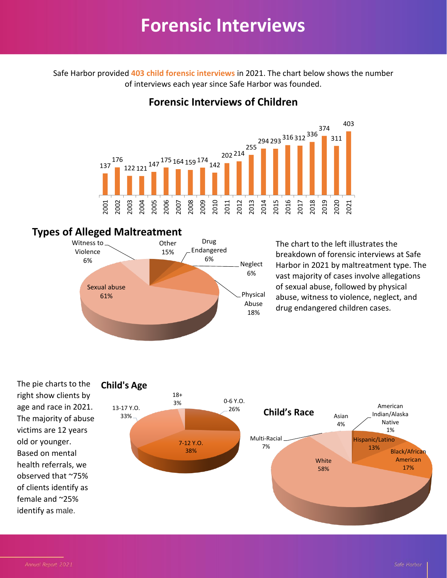## **Forensic Interviews**

Safe Harbor provided **403 child forensic interviews** in 2021. The chart below shows the number of interviews each year since Safe Harbor was founded.

## **Forensic Interviews of Children**



### **Types of Alleged Maltreatment**



The chart to the left illustrates the breakdown of forensic interviews at Safe Harbor in 2021 by maltreatment type. The vast majority of cases involve allegations of sexual abuse, followed by physical abuse, witness to violence, neglect, and drug endangered children cases.

The pie charts to the right show clients by age and race in 2021. The majority of abuse victims are 12 years old or younger. Based on mental health referrals, we observed that ~75% of clients identify as female and ~25% identify as male.

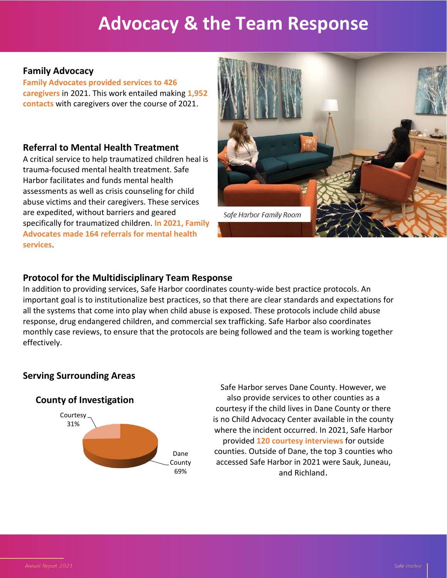## **Advocacy & the Team Response**

### **Family Advocacy**

**Family Advocates provided services to 426 caregivers** in 2021. This work entailed making **1,952 contacts** with caregivers over the course of 2021.

### **Referral to Mental Health Treatment**

A critical service to help traumatized children heal is trauma-focused mental health treatment. Safe Harbor facilitates and funds mental health assessments as well as crisis counseling for child abuse victims and their caregivers. These services are expedited, without barriers and geared specifically for traumatized children. **In 2021, Family Advocates made 164 referrals for mental health services**.



### **Protocol for the Multidisciplinary Team Response**

In addition to providing services, Safe Harbor coordinates county-wide best practice protocols. An important goal is to institutionalize best practices, so that there are clear standards and expectations for all the systems that come into play when child abuse is exposed. These protocols include child abuse response, drug endangered children, and commercial sex trafficking. Safe Harbor also coordinates monthly case reviews, to ensure that the protocols are being followed and the team is working together effectively.

### **Serving Surrounding Areas**





Safe Harbor serves Dane County. However, we also provide services to other counties as a courtesy if the child lives in Dane County or there is no Child Advocacy Center available in the county where the incident occurred. In 2021, Safe Harbor provided **120 courtesy interviews** for outside counties. Outside of Dane, the top 3 counties who accessed Safe Harbor in 2021 were Sauk, Juneau, and Richland.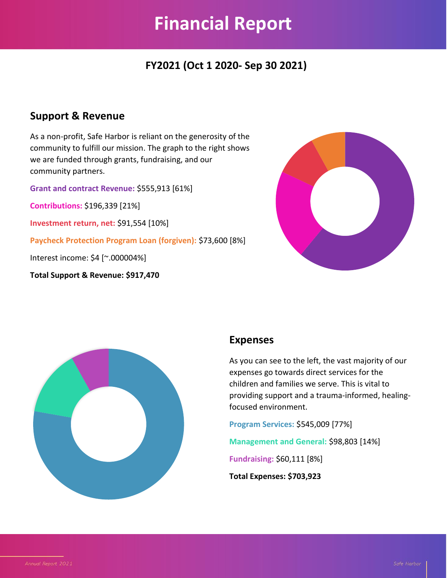## **Financial Report**

## **FY2021 (Oct 1 2020- Sep 30 2021)**

### **Support & Revenue**

As a non-profit, Safe Harbor is reliant on the generosity of the community to fulfill our mission. The graph to the right shows we are funded through grants, fundraising, and our community partners.

**Grant and contract Revenue:** \$555,913 [61%]

**Contributions:** \$196,339 [21%]

**Investment return, net:** \$91,554 [10%]

**Paycheck Protection Program Loan (forgiven):** \$73,600 [8%]

Interest income: \$4 [~.000004%]

**Total Support & Revenue: \$917,470**





### **Expenses**

As you can see to the left, the vast majority of our expenses go towards direct services for the children and families we serve. This is vital to providing support and a trauma-informed, healingfocused environment.

**Program Services:** \$545,009 [77%]

**Management and General:** \$98,803 [14%]

**Fundraising:** \$60,111 [8%]

**Total Expenses: \$703,923**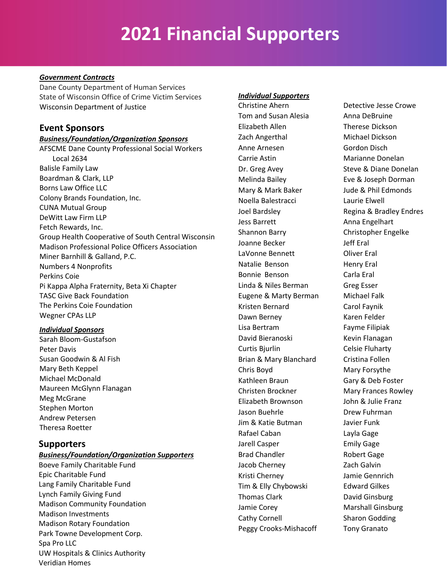## **2021 Financial Supporters**

#### *Government Contracts*

Dane County Department of Human Services State of Wisconsin Office of Crime Victim Services Wisconsin Department of Justice

### **Event Sponsors**

#### *Business/Foundation/Organization Sponsors*

AFSCME Dane County Professional Social Workers Local 2634 Balisle Family Law Boardman & Clark, LLP Borns Law Office LLC Colony Brands Foundation, Inc. CUNA Mutual Group DeWitt Law Firm LLP Fetch Rewards, Inc. Group Health Cooperative of South Central Wisconsin Madison Professional Police Officers Association Miner Barnhill & Galland, P.C. Numbers 4 Nonprofits Perkins Coie Pi Kappa Alpha Fraternity, Beta Xi Chapter TASC Give Back Foundation The Perkins Coie Foundation Wegner CPAs LLP

#### *Individual Sponsors*

Sarah Bloom-Gustafson Peter Davis Susan Goodwin & Al Fish Mary Beth Keppel Michael McDonald Maureen McGlynn Flanagan Meg McGrane Stephen Morton Andrew Petersen Theresa Roetter

### **Supporters**

#### *Business/Foundation/Organization Supporters*

Boeve Family Charitable Fund Epic Charitable Fund Lang Family Charitable Fund Lynch Family Giving Fund Madison Community Foundation Madison Investments Madison Rotary Foundation Park Towne Development Corp. Spa Pro LLC UW Hospitals & Clinics Authority Veridian Homes

#### *Individual Supporters*

Christine Ahern Detective Jesse Crowe Tom and Susan Alesia **Anna DeBruine** Elizabeth Allen Therese Dickson Zach Angerthal Michael Dickson Anne Arnesen Gordon Disch Carrie Astin Marianne Donelan Dr. Greg Avey Steve & Diane Donelan Melinda Bailey Eve & Joseph Dorman Mary & Mark Baker Jude & Phil Edmonds Noella Balestracci Laurie Elwell Jess Barrett **Anna Engelhart** Shannon Barry Christopher Engelke Joanne Becker Jeff Eral LaVonne Bennett **Oliver Eral** Natalie Benson Henry Eral Bonnie Benson Carla Eral Linda & Niles Berman Greg Esser Eugene & Marty Berman Michael Falk Kristen Bernard Carol Faynik Dawn Berney **Karen Felder** Lisa Bertram Fayme Filipiak David Bieranoski Kevin Flanagan Curtis Bjurlin Celsie Fluharty Brian & Mary Blanchard Cristina Follen Chris Boyd Mary Forsythe Kathleen Braun Gary & Deb Foster Christen Brockner Mary Frances Rowley Elizabeth Brownson John & Julie Franz Jason Buehrle **Dianel Brew Fuhrman** Jim & Katie Butman Javier Funk Rafael Caban Layla Gage Jarell Casper **Emily Gage** Brad Chandler Robert Gage Jacob Cherney **Zach Galvin** Kristi Cherney Jamie Gennrich Tim & Elly Chybowski<br>
Edward Gilkes Thomas Clark David Ginsburg Jamie Corey **Marshall Ginsburg** Cathy Cornell Sharon Godding Peggy Crooks-Mishacoff Tony Granato

Joel Bardsley **Regina & Bradley Endres**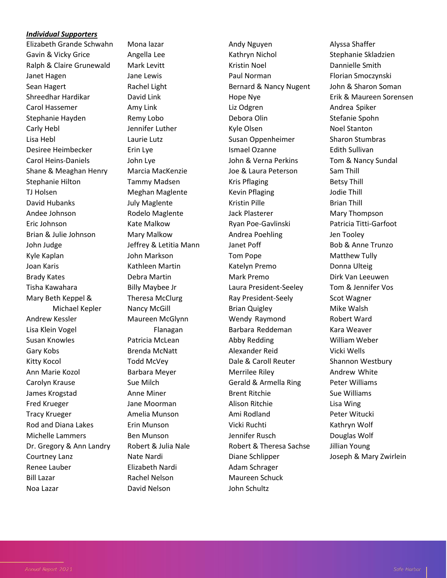#### *Individual Supporters*

Elizabeth Grande Schwahn Gavin & Vicky Grice Ralph & Claire Grunewald Janet Hagen Sean Hagert Shreedhar Hardikar Carol Hassemer Stephanie Hayden Carly Hebl Lisa Hebl Desiree Heimbecker Carol Heins-Daniels Shane & Meaghan Henry Stephanie Hilton TJ Holsen David Hubanks Andee Johnson Eric Johnson Brian & Julie Johnson John Judge Kyle Kaplan Joan Karis Brady Kates Tisha Kawahara Mary Beth Keppel & Michael Kepler Andrew Kessler Lisa Klein Vogel Susan Knowles Gary Kobs Kitty Kocol Ann Marie Kozol Carolyn Krause James Krogstad Fred Krueger Tracy Krueger Rod and Diana Lakes Michelle Lammers Dr. Gregory & Ann Landry Courtney Lanz Renee Lauber Bill Lazar Noa Lazar

Mona lazar Angella Lee Mark Levitt Jane Lewis Rachel Light David Link Amy Link Remy Lobo Jennifer Luther Laurie Lutz Erin Lye John Lye Marcia MacKenzie Tammy Madsen Meghan Maglente July Maglente Rodelo Maglente Kate Malkow Mary Malkow Jeffrey & Letitia Mann John Markson Kathleen Martin Debra Martin Billy Maybee Jr Theresa McClurg Nancy McGill Maureen McGlynn Flanagan Patricia McLean Brenda McNatt Todd McVey Barbara Meyer Sue Milch Anne Miner Jane Moorman Amelia Munson Erin Munson Ben Munson Robert & Julia Nale Nate Nardi Elizabeth Nardi Rachel Nelson David Nelson

Andy Nguyen Kathryn Nichol Kristin Noel Paul Norman Bernard & Nancy Nugent Hope Nye Liz Odgren Debora Olin Kyle Olsen Susan Oppenheimer Ismael Ozanne John & Verna Perkins Joe & Laura Peterson Kris Pflaging Kevin Pflaging Kristin Pille Jack Plasterer Ryan Poe-Gavlinski Andrea Poehling Janet Poff Tom Pope Katelyn Premo Mark Premo Laura President-Seeley Ray President-Seely Brian Quigley Wendy Raymond Barbara Reddeman Abby Redding Alexander Reid Dale & Caroll Reuter Merrilee Riley Gerald & Armella Ring Brent Ritchie Alison Ritchie Ami Rodland Vicki Ruchti Jennifer Rusch Robert & Theresa Sachse Diane Schlipper Adam Schrager Maureen Schuck John Schultz

Alyssa Shaffer Stephanie Skladzien Dannielle Smith Florian Smoczynski John & Sharon Soman Erik & Maureen Sorensen Andrea Spiker Stefanie Spohn Noel Stanton Sharon Stumbras Edith Sullivan Tom & Nancy Sundal Sam Thill Betsy Thill Jodie Thill Brian Thill Mary Thompson Patricia Titti-Garfoot Jen Tooley Bob & Anne Trunzo Matthew Tully Donna Ulteig Dirk Van Leeuwen Tom & Jennifer Vos Scot Wagner Mike Walsh Robert Ward Kara Weaver William Weber Vicki Wells Shannon Westbury Andrew White Peter Williams Sue Williams Lisa Wing Peter Witucki Kathryn Wolf Douglas Wolf Jillian Young Joseph & Mary Zwirlein